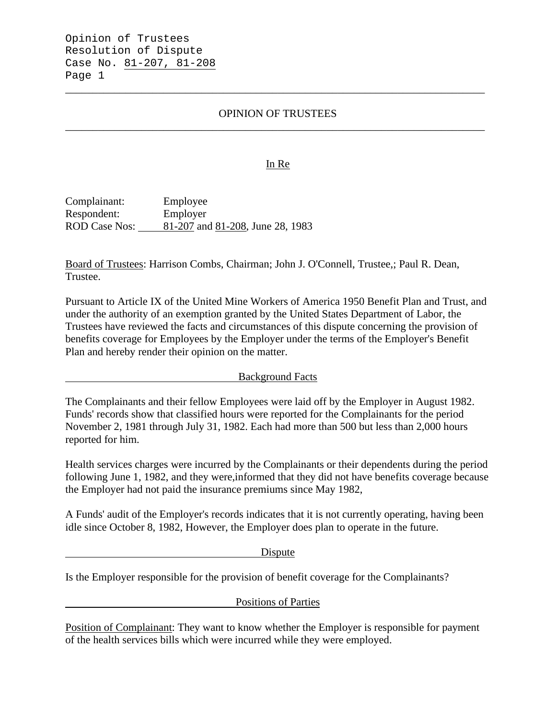# OPINION OF TRUSTEES \_\_\_\_\_\_\_\_\_\_\_\_\_\_\_\_\_\_\_\_\_\_\_\_\_\_\_\_\_\_\_\_\_\_\_\_\_\_\_\_\_\_\_\_\_\_\_\_\_\_\_\_\_\_\_\_\_\_\_\_\_\_\_\_\_\_\_\_\_\_\_\_\_\_\_\_\_

\_\_\_\_\_\_\_\_\_\_\_\_\_\_\_\_\_\_\_\_\_\_\_\_\_\_\_\_\_\_\_\_\_\_\_\_\_\_\_\_\_\_\_\_\_\_\_\_\_\_\_\_\_\_\_\_\_\_\_\_\_\_\_\_\_\_\_\_\_\_\_\_\_\_\_\_\_

#### In Re

Complainant: Employee Respondent: Employer ROD Case Nos: 81-207 and 81-208, June 28, 1983

Board of Trustees: Harrison Combs, Chairman; John J. O'Connell, Trustee,; Paul R. Dean, Trustee.

Pursuant to Article IX of the United Mine Workers of America 1950 Benefit Plan and Trust, and under the authority of an exemption granted by the United States Department of Labor, the Trustees have reviewed the facts and circumstances of this dispute concerning the provision of benefits coverage for Employees by the Employer under the terms of the Employer's Benefit Plan and hereby render their opinion on the matter.

Background Facts

The Complainants and their fellow Employees were laid off by the Employer in August 1982. Funds' records show that classified hours were reported for the Complainants for the period November 2, 1981 through July 31, 1982. Each had more than 500 but less than 2,000 hours reported for him.

Health services charges were incurred by the Complainants or their dependents during the period following June 1, 1982, and they were,informed that they did not have benefits coverage because the Employer had not paid the insurance premiums since May 1982,

A Funds' audit of the Employer's records indicates that it is not currently operating, having been idle since October 8, 1982, However, the Employer does plan to operate in the future.

Dispute

Is the Employer responsible for the provision of benefit coverage for the Complainants?

Positions of Parties

Position of Complainant: They want to know whether the Employer is responsible for payment of the health services bills which were incurred while they were employed.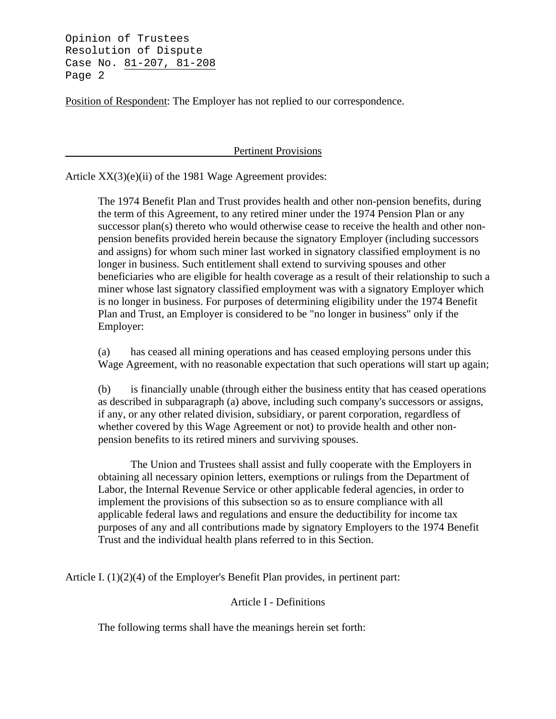Position of Respondent: The Employer has not replied to our correspondence.

Pertinent Provisions

Article XX(3)(e)(ii) of the 1981 Wage Agreement provides:

The 1974 Benefit Plan and Trust provides health and other non-pension benefits, during the term of this Agreement, to any retired miner under the 1974 Pension Plan or any successor plan(s) thereto who would otherwise cease to receive the health and other nonpension benefits provided herein because the signatory Employer (including successors and assigns) for whom such miner last worked in signatory classified employment is no longer in business. Such entitlement shall extend to surviving spouses and other beneficiaries who are eligible for health coverage as a result of their relationship to such a miner whose last signatory classified employment was with a signatory Employer which is no longer in business. For purposes of determining eligibility under the 1974 Benefit Plan and Trust, an Employer is considered to be "no longer in business" only if the Employer:

(a) has ceased all mining operations and has ceased employing persons under this Wage Agreement, with no reasonable expectation that such operations will start up again;

(b) is financially unable (through either the business entity that has ceased operations as described in subparagraph (a) above, including such company's successors or assigns, if any, or any other related division, subsidiary, or parent corporation, regardless of whether covered by this Wage Agreement or not) to provide health and other nonpension benefits to its retired miners and surviving spouses.

The Union and Trustees shall assist and fully cooperate with the Employers in obtaining all necessary opinion letters, exemptions or rulings from the Department of Labor, the Internal Revenue Service or other applicable federal agencies, in order to implement the provisions of this subsection so as to ensure compliance with all applicable federal laws and regulations and ensure the deductibility for income tax purposes of any and all contributions made by signatory Employers to the 1974 Benefit Trust and the individual health plans referred to in this Section.

Article I. (1)(2)(4) of the Employer's Benefit Plan provides, in pertinent part:

#### Article I - Definitions

The following terms shall have the meanings herein set forth: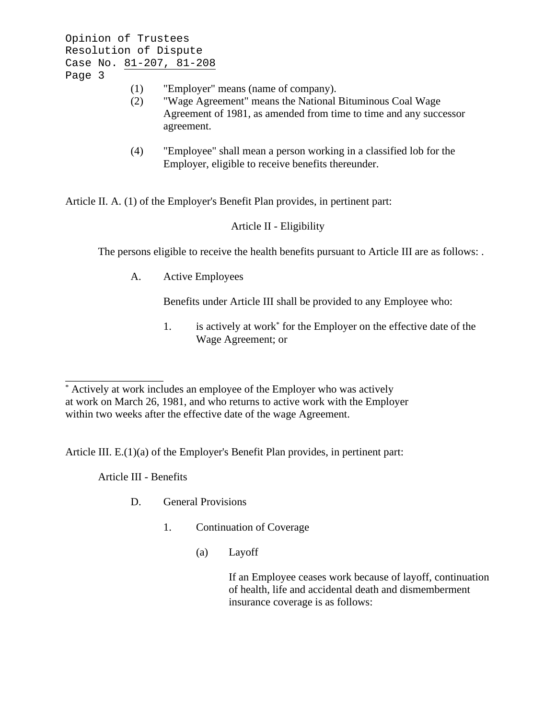- (1) "Employer" means (name of company).
- (2) "Wage Agreement" means the National Bituminous Coal Wage Agreement of 1981, as amended from time to time and any successor agreement.
- (4) "Employee" shall mean a person working in a classified lob for the Employer, eligible to receive benefits thereunder.

Article II. A. (1) of the Employer's Benefit Plan provides, in pertinent part:

# Article II - Eligibility

The persons eligible to receive the health benefits pursuant to Article III are as follows: .

A. Active Employees

Benefits under Article III shall be provided to any Employee who:

1. is actively at work\* for the Employer on the effective date of the Wage Agreement; or

Article III. E.(1)(a) of the Employer's Benefit Plan provides, in pertinent part:

Article III - Benefits

\_\_\_\_\_\_\_\_\_\_\_\_\_\_\_\_\_\_

- D. General Provisions
	- 1. Continuation of Coverage
		- (a) Layoff

If an Employee ceases work because of layoff, continuation of health, life and accidental death and dismemberment insurance coverage is as follows:

<sup>\*</sup> Actively at work includes an employee of the Employer who was actively at work on March 26, 1981, and who returns to active work with the Employer within two weeks after the effective date of the wage Agreement.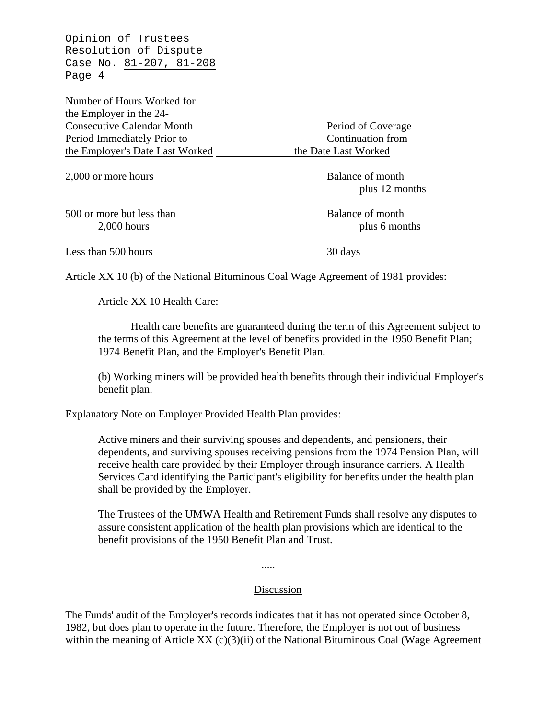Number of Hours Worked for the Employer in the 24- Consecutive Calendar Month Period of Coverage Period Immediately Prior to Continuation from the Employer's Date Last Worked the Date Last Worked

2,000 or more hours Balance of month

500 or more but less than Balance of month

plus 12 months

2,000 hours plus 6 months

Less than 500 hours 30 days

Article XX 10 (b) of the National Bituminous Coal Wage Agreement of 1981 provides:

Article XX 10 Health Care:

Health care benefits are guaranteed during the term of this Agreement subject to the terms of this Agreement at the level of benefits provided in the 1950 Benefit Plan; 1974 Benefit Plan, and the Employer's Benefit Plan.

(b) Working miners will be provided health benefits through their individual Employer's benefit plan.

Explanatory Note on Employer Provided Health Plan provides:

Active miners and their surviving spouses and dependents, and pensioners, their dependents, and surviving spouses receiving pensions from the 1974 Pension Plan, will receive health care provided by their Employer through insurance carriers. A Health Services Card identifying the Participant's eligibility for benefits under the health plan shall be provided by the Employer.

The Trustees of the UMWA Health and Retirement Funds shall resolve any disputes to assure consistent application of the health plan provisions which are identical to the benefit provisions of the 1950 Benefit Plan and Trust.

.....

### Discussion

The Funds' audit of the Employer's records indicates that it has not operated since October 8, 1982, but does plan to operate in the future. Therefore, the Employer is not out of business within the meaning of Article XX  $(c)(3)(ii)$  of the National Bituminous Coal (Wage Agreement